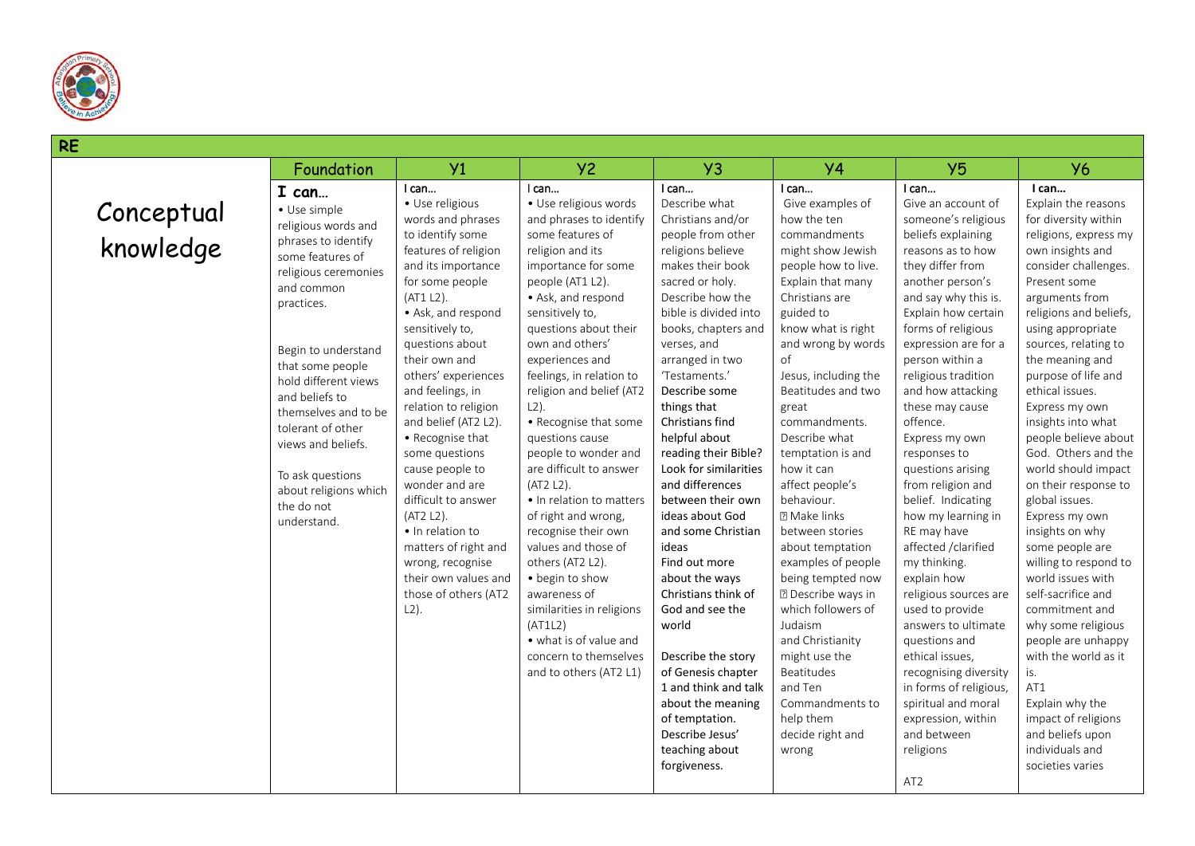

## **RE** Conceptual knowledge Foundation Y1 Y2 Y3 Y4 Y5 Y6 **I can…** • Use simple religious words and phrases to identify some features of religious ceremonies and common practices. Begin to understand that some people hold different views and beliefs to themselves and to be tolerant of other views and beliefs. To ask questions about religions which the do not understand. I can… • Use religious words and phrases to identify some features of religion and its importance for some people (AT1 L2). • Ask, and respond sensitively to, questions about their own and others' experiences and feelings, in relation to religion and belief (AT2 L2). • Recognise that some questions cause people to wonder and are difficult to answer (AT2 L2). • In relation to matters of right and wrong, recognise their own values and those of others (AT2 L2). I can… • Use religious words and phrases to identify some features of religion and its importance for some people (AT1 L2). • Ask, and respond sensitively to, questions about their own and others' experiences and feelings, in relation to religion and belief (AT2 L2). • Recognise that some questions cause people to wonder and are difficult to answer (AT2 L2). • In relation to matters of right and wrong, recognise their own values and those of others (AT2 L2). • begin to show awareness of similarities in religions (AT1L2) • what is of value and concern to themselves and to others (AT2 L1) I can… Describe what Christians and/or people from other religions believe makes their book sacred or holy. Describe how the bible is divided into books, chapters and verses, and arranged in two 'Testaments.' Describe some things that Christians find helpful about reading their Bible? Look for similarities and differences between their own ideas about God and some Christian ideas Find out more about the ways Christians think of God and see the world Describe the story of Genesis chapter 1 and think and talk about the meaning of temptation. Describe Jesus' teaching about forgiveness. I can… Give examples of how the ten commandments might show Jewish people how to live. Explain that many Christians are guided to know what is right and wrong by words of Jesus, including the Beatitudes and two great commandments. Describe what temptation is and how it can affect people's behaviour. Make links between stories about temptation examples of people being tempted now **Describe ways in** which followers of Judaism and Christianity might use the Beatitudes and Ten Commandments to help them decide right and wrong I can… Give an account of someone's religious beliefs explaining reasons as to how they differ from another person's and say why this is. Explain how certain forms of religious expression are for a person within a religious tradition and how attacking these may cause offence. Express my own responses to questions arising from religion and belief. Indicating how my learning in RE may have affected /clarified my thinking. explain how religious sources are used to provide answers to ultimate questions and ethical issues, recognising diversity in forms of religious, spiritual and moral expression, within and between religions AT2 **I can…** Explain the reasons for diversity within religions, express my own insights and consider challenges. Present some arguments from religions and beliefs, using appropriate sources, relating to the meaning and purpose of life and ethical issues. Express my own insights into what people believe about God. Others and the world should impact on their response to global issues. Express my own insights on why some people are willing to respond to world issues with self-sacrifice and commitment and why some religious people are unhappy with the world as it is. AT1 Explain why the impact of religions and beliefs upon individuals and societies varies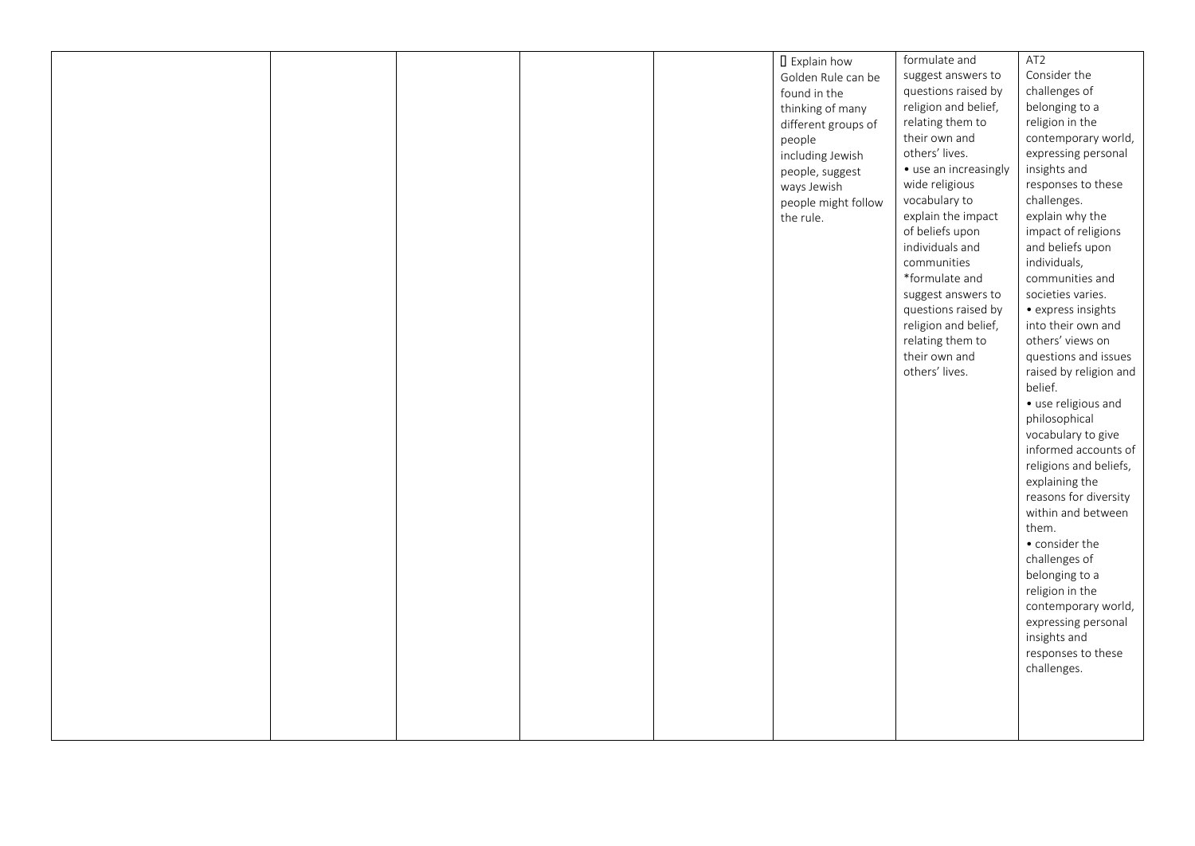|  |  | <b>I</b> Explain how | formulate and                  | AT2                    |
|--|--|----------------------|--------------------------------|------------------------|
|  |  | Golden Rule can be   | suggest answers to             | Consider the           |
|  |  | found in the         | questions raised by            | challenges of          |
|  |  | thinking of many     | religion and belief,           | belonging to a         |
|  |  | different groups of  | relating them to               | religion in the        |
|  |  |                      | their own and                  | contemporary world,    |
|  |  | people               | others' lives.                 | expressing personal    |
|  |  | including Jewish     | • use an increasingly          | insights and           |
|  |  | people, suggest      | wide religious                 | responses to these     |
|  |  | ways Jewish          | vocabulary to                  | challenges.            |
|  |  | people might follow  | explain the impact             | explain why the        |
|  |  | the rule.            |                                |                        |
|  |  |                      | of beliefs upon                | impact of religions    |
|  |  |                      | individuals and<br>communities | and beliefs upon       |
|  |  |                      |                                | individuals,           |
|  |  |                      | *formulate and                 | communities and        |
|  |  |                      | suggest answers to             | societies varies.      |
|  |  |                      | questions raised by            | · express insights     |
|  |  |                      | religion and belief,           | into their own and     |
|  |  |                      | relating them to               | others' views on       |
|  |  |                      | their own and                  | questions and issues   |
|  |  |                      | others' lives.                 | raised by religion and |
|  |  |                      |                                | belief.                |
|  |  |                      |                                | · use religious and    |
|  |  |                      |                                | philosophical          |
|  |  |                      |                                | vocabulary to give     |
|  |  |                      |                                | informed accounts of   |
|  |  |                      |                                | religions and beliefs, |
|  |  |                      |                                | explaining the         |
|  |  |                      |                                | reasons for diversity  |
|  |  |                      |                                | within and between     |
|  |  |                      |                                | them.                  |
|  |  |                      |                                | • consider the         |
|  |  |                      |                                | challenges of          |
|  |  |                      |                                | belonging to a         |
|  |  |                      |                                | religion in the        |
|  |  |                      |                                | contemporary world,    |
|  |  |                      |                                | expressing personal    |
|  |  |                      |                                | insights and           |
|  |  |                      |                                | responses to these     |
|  |  |                      |                                | challenges.            |
|  |  |                      |                                |                        |
|  |  |                      |                                |                        |
|  |  |                      |                                |                        |
|  |  |                      |                                |                        |